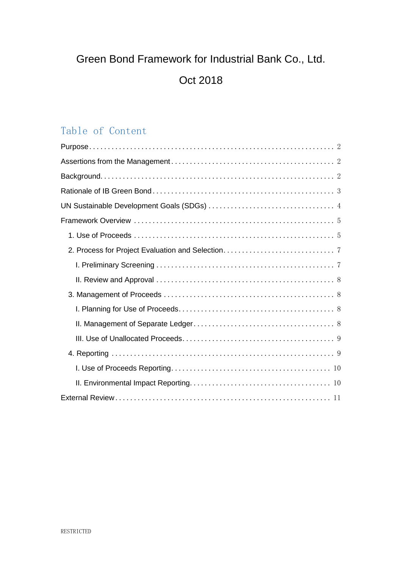# Green Bond Framework for Industrial Bank Co., Ltd.

## Oct 2018

## Table of Content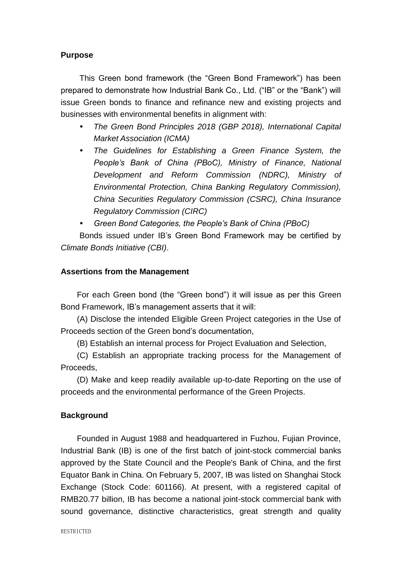## <span id="page-1-0"></span>**Purpose**

This Green bond framework (the "Green Bond Framework") has been prepared to demonstrate how Industrial Bank Co., Ltd. ("IB" or the "Bank") will issue Green bonds to finance and refinance new and existing projects and businesses with environmental benefits in alignment with:

- *The Green Bond Principles 2018 (GBP 2018), International Capital Market Association (ICMA)*
- *The Guidelines for Establishing a Green Finance System, the People's Bank of China (PBoC), Ministry of Finance, National Development and Reform Commission (NDRC), Ministry of Environmental Protection, China Banking Regulatory Commission), China Securities Regulatory Commission (CSRC), China Insurance Regulatory Commission (CIRC)*
- *Green Bond Categories, the People's Bank of China (PBoC)*

Bonds issued under IB's Green Bond Framework may be certified by *Climate Bonds Initiative (CBI)*.

#### <span id="page-1-1"></span>**Assertions from the Management**

For each Green bond (the "Green bond") it will issue as per this Green Bond Framework, IB's management asserts that it will:

(A) Disclose the intended Eligible Green Project categories in the Use of Proceeds section of the Green bond's documentation,

(B) Establish an internal process for Project Evaluation and Selection,

(C) Establish an appropriate tracking process for the Management of Proceeds,

(D) Make and keep readily available up-to-date Reporting on the use of proceeds and the environmental performance of the Green Projects.

## <span id="page-1-2"></span>**Background**

Founded in August 1988 and headquartered in Fuzhou, Fujian Province, Industrial Bank (IB) is one of the first batch of joint-stock commercial banks approved by the State Council and the People's Bank of China, and the first Equator Bank in China. On February 5, 2007, IB was listed on Shanghai Stock Exchange (Stock Code: 601166). At present, with a registered capital of RMB20.77 billion, IB has become a national joint-stock commercial bank with sound governance, distinctive characteristics, great strength and quality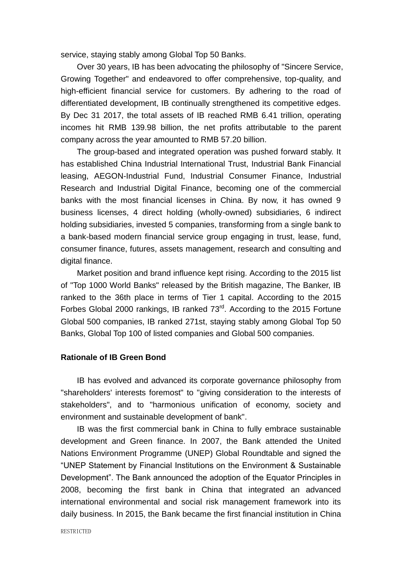service, staying stably among Global Top 50 Banks.

Over 30 years, IB has been advocating the philosophy of "Sincere Service, Growing Together" and endeavored to offer comprehensive, top-quality, and high-efficient financial service for customers. By adhering to the road of differentiated development, IB continually strengthened its competitive edges. By Dec 31 2017, the total assets of IB reached RMB 6.41 trillion, operating incomes hit RMB 139.98 billion, the net profits attributable to the parent company across the year amounted to RMB 57.20 billion.

The group-based and integrated operation was pushed forward stably. It has established China Industrial International Trust, Industrial Bank Financial leasing, AEGON-Industrial Fund, Industrial Consumer Finance, Industrial Research and Industrial Digital Finance, becoming one of the commercial banks with the most financial licenses in China. By now, it has owned 9 business licenses, 4 direct holding (wholly-owned) subsidiaries, 6 indirect holding subsidiaries, invested 5 companies, transforming from a single bank to a bank-based modern financial service group engaging in trust, lease, fund, consumer finance, futures, assets management, research and consulting and digital finance.

Market position and brand influence kept rising. According to the 2015 list of "Top 1000 World Banks" released by the British magazine, The Banker, IB ranked to the 36th place in terms of Tier 1 capital. According to the 2015 Forbes Global 2000 rankings, IB ranked 73<sup>rd</sup>. According to the 2015 Fortune Global 500 companies, IB ranked 271st, staying stably among Global Top 50 Banks, Global Top 100 of listed companies and Global 500 companies.

#### <span id="page-2-0"></span>**Rationale of IB Green Bond**

IB has evolved and advanced its corporate governance philosophy from "shareholders' interests foremost" to "giving consideration to the interests of stakeholders", and to "harmonious unification of economy, society and environment and sustainable development of bank".

IB was the first commercial bank in China to fully embrace sustainable development and Green finance. In 2007, the Bank attended the United Nations Environment Programme (UNEP) Global Roundtable and signed the "UNEP Statement by Financial Institutions on the Environment & Sustainable Development". The Bank announced the adoption of the Equator Principles in 2008, becoming the first bank in China that integrated an advanced international environmental and social risk management framework into its daily business. In 2015, the Bank became the first financial institution in China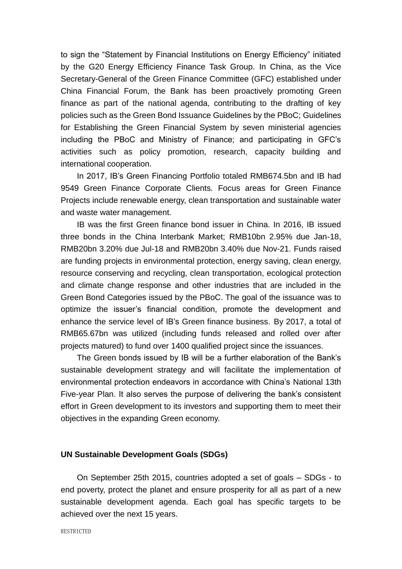to sign the "Statement by Financial Institutions on Energy Efficiency" initiated by the G20 Energy Efficiency Finance Task Group. In China, as the Vice Secretary-General of the Green Finance Committee (GFC) established under China Financial Forum, the Bank has been proactively promoting Green finance as part of the national agenda, contributing to the drafting of key policies such as the Green Bond Issuance Guidelines by the PBoC; Guidelines for Establishing the Green Financial System by seven ministerial agencies including the PBoC and Ministry of Finance; and participating in GFC's activities such as policy promotion, research, capacity building and international cooperation.

In 2017, IB's Green Financing Portfolio totaled RMB674.5bn and IB had 9549 Green Finance Corporate Clients. Focus areas for Green Finance Projects include renewable energy, clean transportation and sustainable water and waste water management.

IB was the first Green finance bond issuer in China. In 2016, IB issued three bonds in the China Interbank Market; RMB10bn 2.95% due Jan-18, RMB20bn 3.20% due Jul-18 and RMB20bn 3.40% due Nov-21. Funds raised are funding projects in environmental protection, energy saving, clean energy, resource conserving and recycling, clean transportation, ecological protection and climate change response and other industries that are included in the Green Bond Categories issued by the PBoC. The goal of the issuance was to optimize the issuer's financial condition, promote the development and enhance the service level of IB's Green finance business. By 2017, a total of RMB65.67bn was utilized (including funds released and rolled over after projects matured) to fund over 1400 qualified project since the issuances.

The Green bonds issued by IB will be a further elaboration of the Bank's sustainable development strategy and will facilitate the implementation of environmental protection endeavors in accordance with China's National 13th Five-year Plan. It also serves the purpose of delivering the bank's consistent effort in Green development to its investors and supporting them to meet their objectives in the expanding Green economy.

#### <span id="page-3-0"></span>**UN Sustainable Development Goals (SDGs)**

On September 25th 2015, countries adopted a set of goals – SDGs - to end poverty, protect the planet and ensure prosperity for all as part of a new sustainable development agenda. Each goal has specific targets to be achieved over the next 15 years.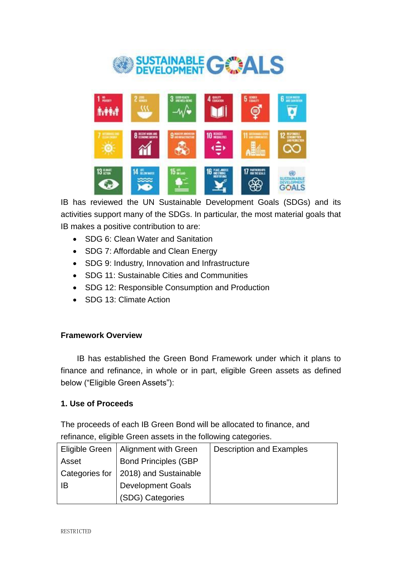



IB has reviewed the UN Sustainable Development Goals (SDGs) and its activities support many of the SDGs. In particular, the most material goals that IB makes a positive contribution to are:

- SDG 6: Clean Water and Sanitation
- SDG 7: Affordable and Clean Energy
- SDG 9: Industry, Innovation and Infrastructure
- SDG 11: Sustainable Cities and Communities
- SDG 12: Responsible Consumption and Production
- SDG 13: Climate Action

## <span id="page-4-0"></span>**Framework Overview**

IB has established the Green Bond Framework under which it plans to finance and refinance, in whole or in part, eligible Green assets as defined below ("Eligible Green Assets"):

## <span id="page-4-1"></span>**1. Use of Proceeds**

The proceeds of each IB Green Bond will be allocated to finance, and refinance, eligible Green assets in the following categories.

| Eligible Green        | <b>Alignment with Green</b> | <b>Description and Examples</b> |
|-----------------------|-----------------------------|---------------------------------|
| Asset                 | <b>Bond Principles (GBP</b> |                                 |
| <b>Categories for</b> | 2018) and Sustainable       |                                 |
| -lB                   | <b>Development Goals</b>    |                                 |
|                       | (SDG) Categories            |                                 |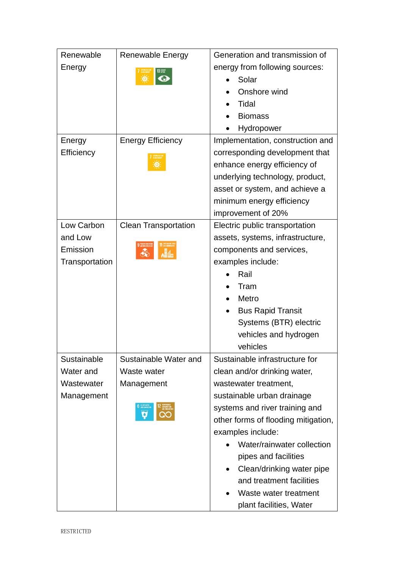| Renewable      | <b>Renewable Energy</b>     | Generation and transmission of                                                                                                 |  |  |  |
|----------------|-----------------------------|--------------------------------------------------------------------------------------------------------------------------------|--|--|--|
| Energy         |                             | energy from following sources:                                                                                                 |  |  |  |
|                |                             | Solar                                                                                                                          |  |  |  |
|                |                             | Onshore wind<br>Tidal<br><b>Biomass</b><br>Hydropower                                                                          |  |  |  |
|                |                             |                                                                                                                                |  |  |  |
|                |                             |                                                                                                                                |  |  |  |
|                |                             |                                                                                                                                |  |  |  |
| Energy         | <b>Energy Efficiency</b>    | Implementation, construction and                                                                                               |  |  |  |
| Efficiency     |                             | corresponding development that                                                                                                 |  |  |  |
|                |                             | enhance energy efficiency of<br>underlying technology, product,<br>asset or system, and achieve a<br>minimum energy efficiency |  |  |  |
|                |                             |                                                                                                                                |  |  |  |
|                |                             |                                                                                                                                |  |  |  |
|                |                             |                                                                                                                                |  |  |  |
|                |                             | improvement of 20%                                                                                                             |  |  |  |
| Low Carbon     | <b>Clean Transportation</b> | Electric public transportation                                                                                                 |  |  |  |
| and Low        |                             | assets, systems, infrastructure,                                                                                               |  |  |  |
| Emission       |                             | components and services,                                                                                                       |  |  |  |
| Transportation |                             | examples include:                                                                                                              |  |  |  |
|                |                             | Rail                                                                                                                           |  |  |  |
|                |                             | Tram                                                                                                                           |  |  |  |
|                |                             | Metro                                                                                                                          |  |  |  |
|                |                             | <b>Bus Rapid Transit</b>                                                                                                       |  |  |  |
|                |                             | Systems (BTR) electric                                                                                                         |  |  |  |
|                |                             | vehicles and hydrogen                                                                                                          |  |  |  |
|                |                             | vehicles                                                                                                                       |  |  |  |
| Sustainable    | Sustainable Water and       | Sustainable infrastructure for                                                                                                 |  |  |  |
| Water and      | Waste water                 | clean and/or drinking water,                                                                                                   |  |  |  |
| Wastewater     | Management                  | wastewater treatment,                                                                                                          |  |  |  |
| Management     |                             | sustainable urban drainage                                                                                                     |  |  |  |
|                | ۰                           | systems and river training and                                                                                                 |  |  |  |
|                |                             | other forms of flooding mitigation,                                                                                            |  |  |  |
|                |                             | examples include:                                                                                                              |  |  |  |
|                |                             | Water/rainwater collection                                                                                                     |  |  |  |
|                |                             | pipes and facilities                                                                                                           |  |  |  |
|                |                             | Clean/drinking water pipe                                                                                                      |  |  |  |
|                |                             | and treatment facilities                                                                                                       |  |  |  |
|                |                             | Waste water treatment                                                                                                          |  |  |  |
|                |                             | plant facilities, Water                                                                                                        |  |  |  |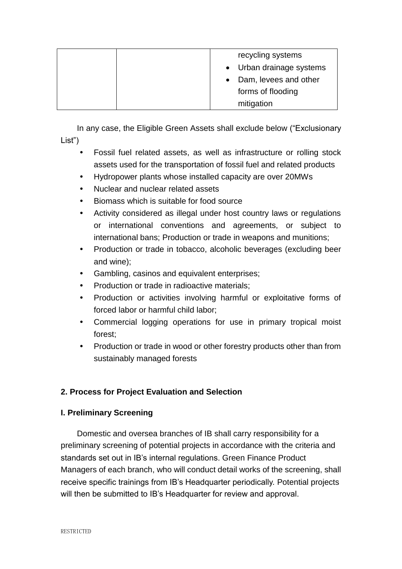| recycling systems        |
|--------------------------|
| • Urban drainage systems |
| • Dam, levees and other  |
| forms of flooding        |
| mitigation               |

In any case, the Eligible Green Assets shall exclude below ("Exclusionary List")

- Fossil fuel related assets, as well as infrastructure or rolling stock assets used for the transportation of fossil fuel and related products
- Hydropower plants whose installed capacity are over 20MWs
- Nuclear and nuclear related assets
- Biomass which is suitable for food source
- Activity considered as illegal under host country laws or regulations or international conventions and agreements, or subject to international bans; Production or trade in weapons and munitions;
- Production or trade in tobacco, alcoholic beverages (excluding beer and wine);
- Gambling, casinos and equivalent enterprises;
- Production or trade in radioactive materials;
- Production or activities involving harmful or exploitative forms of forced labor or harmful child labor;
- Commercial logging operations for use in primary tropical moist forest;
- Production or trade in wood or other forestry products other than from sustainably managed forests

## <span id="page-6-0"></span>**2. Process for Project Evaluation and Selection**

## <span id="page-6-1"></span>**I. Preliminary Screening**

Domestic and oversea branches of IB shall carry responsibility for a preliminary screening of potential projects in accordance with the criteria and standards set out in IB's internal regulations. Green Finance Product Managers of each branch, who will conduct detail works of the screening, shall receive specific trainings from IB's Headquarter periodically. Potential projects will then be submitted to IB's Headquarter for review and approval.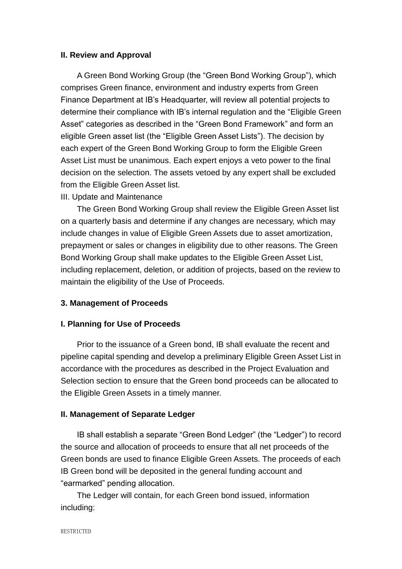#### <span id="page-7-0"></span>**II. Review and Approval**

A Green Bond Working Group (the "Green Bond Working Group"), which comprises Green finance, environment and industry experts from Green Finance Department at IB's Headquarter, will review all potential projects to determine their compliance with IB's internal regulation and the "Eligible Green Asset" categories as described in the "Green Bond Framework" and form an eligible Green asset list (the "Eligible Green Asset Lists"). The decision by each expert of the Green Bond Working Group to form the Eligible Green Asset List must be unanimous. Each expert enjoys a veto power to the final decision on the selection. The assets vetoed by any expert shall be excluded from the Eligible Green Asset list.

#### III. Update and Maintenance

The Green Bond Working Group shall review the Eligible Green Asset list on a quarterly basis and determine if any changes are necessary, which may include changes in value of Eligible Green Assets due to asset amortization, prepayment or sales or changes in eligibility due to other reasons. The Green Bond Working Group shall make updates to the Eligible Green Asset List, including replacement, deletion, or addition of projects, based on the review to maintain the eligibility of the Use of Proceeds.

#### <span id="page-7-1"></span>**3. Management of Proceeds**

#### <span id="page-7-2"></span>**I. Planning for Use of Proceeds**

Prior to the issuance of a Green bond, IB shall evaluate the recent and pipeline capital spending and develop a preliminary Eligible Green Asset List in accordance with the procedures as described in the Project Evaluation and Selection section to ensure that the Green bond proceeds can be allocated to the Eligible Green Assets in a timely manner.

#### <span id="page-7-3"></span>**II. Management of Separate Ledger**

IB shall establish a separate "Green Bond Ledger" (the "Ledger") to record the source and allocation of proceeds to ensure that all net proceeds of the Green bonds are used to finance Eligible Green Assets. The proceeds of each IB Green bond will be deposited in the general funding account and "earmarked" pending allocation.

The Ledger will contain, for each Green bond issued, information including: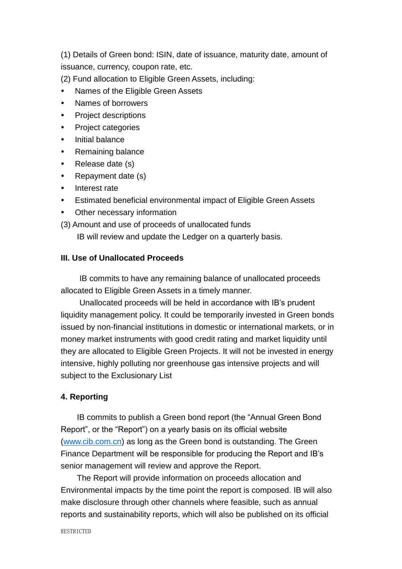(1) Details of Green bond: ISIN, date of issuance, maturity date, amount of issuance, currency, coupon rate, etc.

- (2) Fund allocation to Eligible Green Assets, including:
- Names of the Eligible Green Assets
- Names of borrowers
- Project descriptions
- Project categories
- Initial balance
- Remaining balance
- Release date (s)
- Repayment date (s)
- Interest rate
- Estimated beneficial environmental impact of Eligible Green Assets
- Other necessary information
- (3) Amount and use of proceeds of unallocated funds

IB will review and update the Ledger on a quarterly basis.

## <span id="page-8-0"></span>**III. Use of Unallocated Proceeds**

IB commits to have any remaining balance of unallocated proceeds allocated to Eligible Green Assets in a timely manner.

Unallocated proceeds will be held in accordance with IB's prudent liquidity management policy. It could be temporarily invested in Green bonds issued by non-financial institutions in domestic or international markets, or in money market instruments with good credit rating and market liquidity until they are allocated to Eligible Green Projects. It will not be invested in energy intensive, highly polluting nor greenhouse gas intensive projects and will subject to the Exclusionary List

## <span id="page-8-1"></span>**4. Reporting**

IB commits to publish a Green bond report (the "Annual Green Bond Report", or the "Report") on a yearly basis on its official website [\(www.cib.com.cn\)](http://www.cib.com.cn/) as long as the Green bond is outstanding. The Green Finance Department will be responsible for producing the Report and IB's senior management will review and approve the Report.

The Report will provide information on proceeds allocation and Environmental impacts by the time point the report is composed. IB will also make disclosure through other channels where feasible, such as annual reports and sustainability reports, which will also be published on its official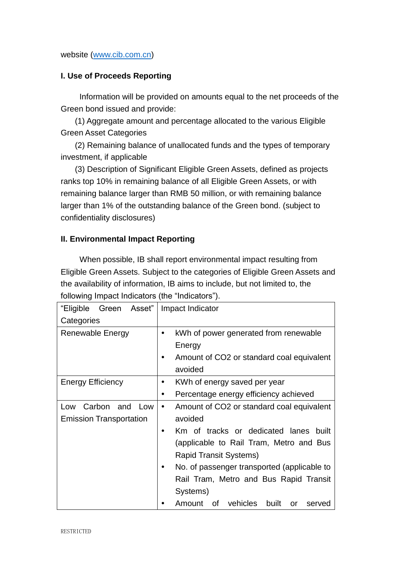## website [\(www.cib.com.cn\)](http://www.cib.com.cn/)

## <span id="page-9-0"></span>**I. Use of Proceeds Reporting**

Information will be provided on amounts equal to the net proceeds of the Green bond issued and provide:

(1) Aggregate amount and percentage allocated to the various Eligible Green Asset Categories

(2) Remaining balance of unallocated funds and the types of temporary investment, if applicable

(3) Description of Significant Eligible Green Assets, defined as projects ranks top 10% in remaining balance of all Eligible Green Assets, or with remaining balance larger than RMB 50 million, or with remaining balance larger than 1% of the outstanding balance of the Green bond. (subject to confidentiality disclosures)

## <span id="page-9-1"></span>**II. Environmental Impact Reporting**

When possible, IB shall report environmental impact resulting from Eligible Green Assets. Subject to the categories of Eligible Green Assets and the availability of information, IB aims to include, but not limited to, the following Impact Indicators (the "Indicators").

| Green Asset"<br>"Eligible      | Impact Indicator                                       |  |  |  |
|--------------------------------|--------------------------------------------------------|--|--|--|
| Categories                     |                                                        |  |  |  |
| Renewable Energy               | kWh of power generated from renewable<br>٠             |  |  |  |
|                                | Energy                                                 |  |  |  |
|                                | Amount of CO2 or standard coal equivalent<br>$\bullet$ |  |  |  |
|                                | avoided                                                |  |  |  |
| <b>Energy Efficiency</b>       | KWh of energy saved per year<br>٠                      |  |  |  |
|                                | Percentage energy efficiency achieved<br>٠             |  |  |  |
| Carbon<br>and<br>Low<br>Low    | Amount of CO2 or standard coal equivalent<br>$\bullet$ |  |  |  |
| <b>Emission Transportation</b> | avoided                                                |  |  |  |
|                                | Km of tracks or dedicated lanes<br>built               |  |  |  |
|                                | (applicable to Rail Tram, Metro and Bus                |  |  |  |
|                                | Rapid Transit Systems)                                 |  |  |  |
|                                | No. of passenger transported (applicable to<br>٠       |  |  |  |
|                                | Rail Tram, Metro and Bus Rapid Transit                 |  |  |  |
|                                | Systems)                                               |  |  |  |
|                                | Amount of vehicles<br>built<br>served<br>or            |  |  |  |